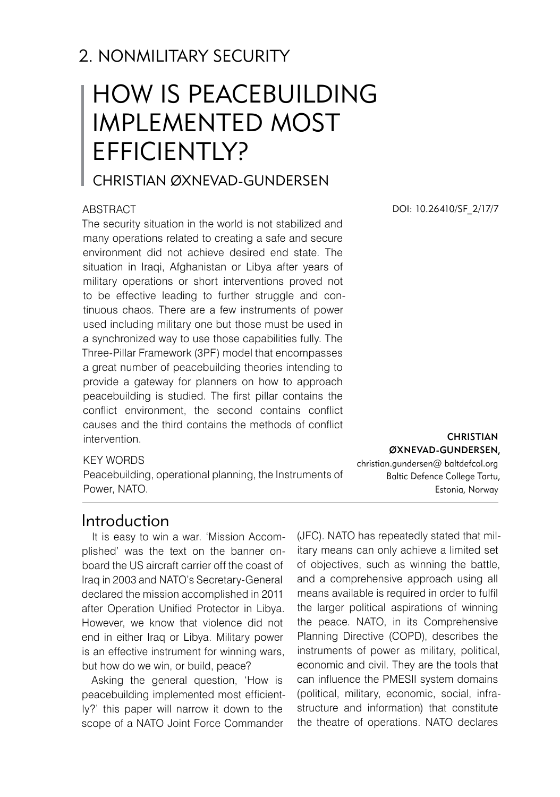# 2. NONMILITARY SECURITY

# How is peacebuilding implemented most efficiently?

Christian Øxnevad-Gundersen

#### **ABSTRACT**

The security situation in the world is not stabilized and many operations related to creating a safe and secure environment did not achieve desired end state. The situation in Iraqi, Afghanistan or Libya after years of military operations or short interventions proved not to be effective leading to further struggle and continuous chaos. There are a few instruments of power used including military one but those must be used in a synchronized way to use those capabilities fully. The Three-Pillar Framework (3PF) model that encompasses a great number of peacebuilding theories intending to provide a gateway for planners on how to approach peacebuilding is studied. The first pillar contains the conflict environment, the second contains conflict causes and the third contains the methods of conflict intervention.

## KEY WORDS

Peacebuilding, operational planning, the Instruments of Power, NATO.

Introduction

It is easy to win a war. 'Mission Accomplished' was the text on the banner onboard the US aircraft carrier off the coast of Iraq in 2003 and NATO's Secretary-General declared the mission accomplished in 2011 after Operation Unified Protector in Libya. However, we know that violence did not end in either Iraq or Libya. Military power is an effective instrument for winning wars, but how do we win, or build, peace?

Asking the general question, 'How is peacebuilding implemented most efficiently?' this paper will narrow it down to the scope of a NATO Joint Force Commander

DOI: 10.26410/SF\_2/17/7

**CHRISTIAN** ØXNEVAD-GUNDERSEN, christian.gundersen@ baltdefcol.org Baltic Defence College Tartu, Estonia, Norway

(JFC). NATO has repeatedly stated that military means can only achieve a limited set of objectives, such as winning the battle, and a comprehensive approach using all means available is required in order to fulfil the larger political aspirations of winning the peace. NATO, in its Comprehensive Planning Directive (COPD), describes the instruments of power as military, political, economic and civil. They are the tools that can influence the PMESII system domains (political, military, economic, social, infrastructure and information) that constitute the theatre of operations. NATO declares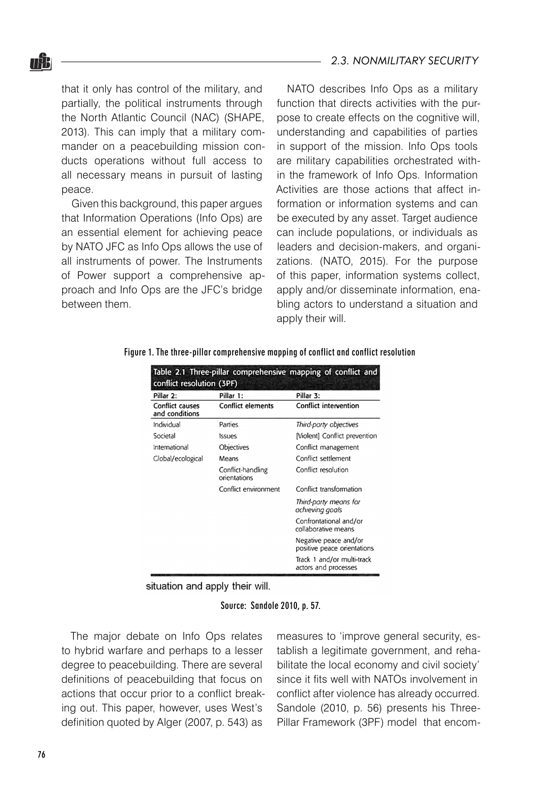#### *2.3. NONMILITARY SECURITY*

that it only has control of the military, and partially, the political instruments through the North Atlantic Council (NAC) (SHAPE, 2013). This can imply that a military commander on a peacebuilding mission conducts operations without full access to all necessary means in pursuit of lasting peace.

Given this background, this paper argues that Information Operations (Info Ops) are an essential element for achieving peace by NATO JFC as Info Ops allows the use of all instruments of power. The Instruments of Power support a comprehensive approach and Info Ops are the JFC's bridge between them.

NATO describes Info Ops as a military function that directs activities with the purpose to create effects on the cognitive will, understanding and capabilities of parties in support of the mission. Info Ops tools are military capabilities orchestrated within the framework of Info Ops. Information Activities are those actions that affect information or information systems and can be executed by any asset. Target audience can include populations, or individuals as leaders and decision-makers, and organizations. (NATO, 2015). For the purpose of this paper, information systems collect, apply and/or disseminate information, enabling actors to understand a situation and apply their will.

Figure 1. The three-pillar comprehensive mapping of conflict and conflict resolution

| Table 2.1 Three-pillar comprehensive mapping of conflict and<br>conflict resolution (3PF) |                                   |                                                      |  |  |
|-------------------------------------------------------------------------------------------|-----------------------------------|------------------------------------------------------|--|--|
| Pillar 2:                                                                                 | Pillar 1:                         | Pillar 3:                                            |  |  |
| <b>Conflict causes</b><br>and conditions                                                  | <b>Conflict elements</b>          | <b>Conflict intervention</b>                         |  |  |
| Individual                                                                                | Parties                           | Third-party objectives                               |  |  |
| Societal                                                                                  | Issues                            | [Violent] Conflict prevention                        |  |  |
| International                                                                             | Objectives                        | Conflict management                                  |  |  |
| Clobal/ecological                                                                         | Means                             | Conflict settlement                                  |  |  |
|                                                                                           | Conflict-handling<br>orientations | Conflict resolution                                  |  |  |
|                                                                                           | Conflict environment              | Conflict transformation                              |  |  |
|                                                                                           |                                   | Third-party means for<br>achieving goals             |  |  |
|                                                                                           |                                   | Confrontational and/or<br>collaborative means        |  |  |
|                                                                                           |                                   | Negative peace and/or<br>positive peace orientations |  |  |
|                                                                                           |                                   | Track 1 and/or multi-track<br>actors and processes   |  |  |

situation and apply their will.

Source: Sandole 2010, p. 57.

The major debate on Info Ops relates to hybrid warfare and perhaps to a lesser degree to peacebuilding. There are several definitions of peacebuilding that focus on actions that occur prior to a conflict breaking out. This paper, however, uses West's definition quoted by Alger (2007, p. 543) as

measures to 'improve general security, establish a legitimate government, and rehabilitate the local economy and civil society' since it fits well with NATOs involvement in conflict after violence has already occurred. Sandole (2010, p. 56) presents his Three-Pillar Framework (3PF) model that encom-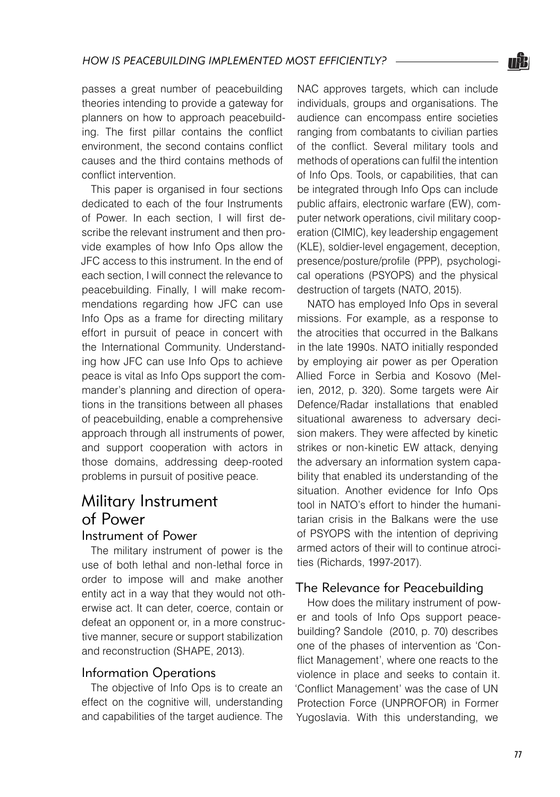passes a great number of peacebuilding theories intending to provide a gateway for planners on how to approach peacebuilding. The first pillar contains the conflict environment, the second contains conflict causes and the third contains methods of conflict intervention.

This paper is organised in four sections dedicated to each of the four Instruments of Power. In each section, I will first describe the relevant instrument and then provide examples of how Info Ops allow the JFC access to this instrument. In the end of each section, I will connect the relevance to peacebuilding. Finally, I will make recommendations regarding how JFC can use Info Ops as a frame for directing military effort in pursuit of peace in concert with the International Community. Understanding how JFC can use Info Ops to achieve peace is vital as Info Ops support the commander's planning and direction of operations in the transitions between all phases of peacebuilding, enable a comprehensive approach through all instruments of power, and support cooperation with actors in those domains, addressing deep-rooted problems in pursuit of positive peace.

## Military Instrument of Power Instrument of Power

The military instrument of power is the use of both lethal and non-lethal force in order to impose will and make another entity act in a way that they would not otherwise act. It can deter, coerce, contain or defeat an opponent or, in a more constructive manner, secure or support stabilization and reconstruction (SHAPE, 2013).

## Information Operations

The objective of Info Ops is to create an effect on the cognitive will, understanding and capabilities of the target audience. The NAC approves targets, which can include individuals, groups and organisations. The audience can encompass entire societies ranging from combatants to civilian parties of the conflict. Several military tools and methods of operations can fulfil the intention of Info Ops. Tools, or capabilities, that can be integrated through Info Ops can include public affairs, electronic warfare (EW), computer network operations, civil military cooperation (CIMIC), key leadership engagement (KLE), soldier-level engagement, deception, presence/posture/profile (PPP), psychological operations (PSYOPS) and the physical destruction of targets (NATO, 2015).

NATO has employed Info Ops in several missions. For example, as a response to the atrocities that occurred in the Balkans in the late 1990s. NATO initially responded by employing air power as per Operation Allied Force in Serbia and Kosovo (Melien, 2012, p. 320). Some targets were Air Defence/Radar installations that enabled situational awareness to adversary decision makers. They were affected by kinetic strikes or non-kinetic EW attack, denying the adversary an information system capability that enabled its understanding of the situation. Another evidence for Info Ops tool in NATO's effort to hinder the humanitarian crisis in the Balkans were the use of PSYOPS with the intention of depriving armed actors of their will to continue atrocities (Richards, 1997-2017).

## The Relevance for Peacebuilding

How does the military instrument of power and tools of Info Ops support peacebuilding? Sandole (2010, p. 70) describes one of the phases of intervention as 'Conflict Management', where one reacts to the violence in place and seeks to contain it. 'Conflict Management' was the case of UN Protection Force (UNPROFOR) in Former Yugoslavia. With this understanding, we

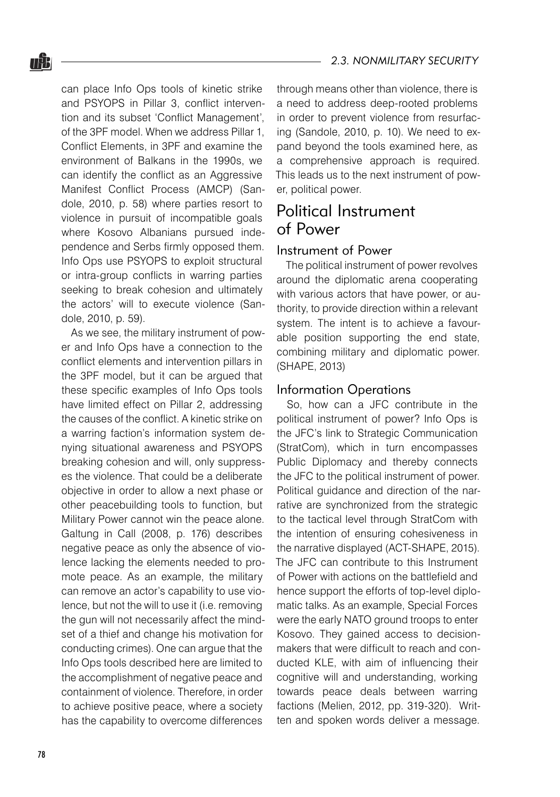## *2.3. NONMILITARY SECURITY*

can place Info Ops tools of kinetic strike and PSYOPS in Pillar 3, conflict intervention and its subset 'Conflict Management', of the 3PF model. When we address Pillar 1, Conflict Elements, in 3PF and examine the environment of Balkans in the 1990s, we can identify the conflict as an Aggressive Manifest Conflict Process (AMCP) (Sandole, 2010, p. 58) where parties resort to violence in pursuit of incompatible goals where Kosovo Albanians pursued independence and Serbs firmly opposed them. Info Ops use PSYOPS to exploit structural or intra-group conflicts in warring parties seeking to break cohesion and ultimately the actors' will to execute violence (Sandole, 2010, p. 59).

As we see, the military instrument of power and Info Ops have a connection to the conflict elements and intervention pillars in the 3PF model, but it can be argued that these specific examples of Info Ops tools have limited effect on Pillar 2, addressing the causes of the conflict. A kinetic strike on a warring faction's information system denying situational awareness and PSYOPS breaking cohesion and will, only suppresses the violence. That could be a deliberate objective in order to allow a next phase or other peacebuilding tools to function, but Military Power cannot win the peace alone. Galtung in Call (2008, p. 176) describes negative peace as only the absence of violence lacking the elements needed to promote peace. As an example, the military can remove an actor's capability to use violence, but not the will to use it (i.e. removing the gun will not necessarily affect the mindset of a thief and change his motivation for conducting crimes). One can argue that the Info Ops tools described here are limited to the accomplishment of negative peace and containment of violence. Therefore, in order to achieve positive peace, where a society has the capability to overcome differences

through means other than violence, there is a need to address deep-rooted problems in order to prevent violence from resurfacing (Sandole, 2010, p. 10). We need to expand beyond the tools examined here, as a comprehensive approach is required. This leads us to the next instrument of power, political power.

# Political Instrument of Power

#### Instrument of Power

The political instrument of power revolves around the diplomatic arena cooperating with various actors that have power, or authority, to provide direction within a relevant system. The intent is to achieve a favourable position supporting the end state, combining military and diplomatic power. (SHAPE, 2013)

## Information Operations

So, how can a JFC contribute in the political instrument of power? Info Ops is the JFC's link to Strategic Communication (StratCom), which in turn encompasses Public Diplomacy and thereby connects the JFC to the political instrument of power. Political guidance and direction of the narrative are synchronized from the strategic to the tactical level through StratCom with the intention of ensuring cohesiveness in the narrative displayed (ACT-SHAPE, 2015). The JFC can contribute to this Instrument of Power with actions on the battlefield and hence support the efforts of top-level diplomatic talks. As an example, Special Forces were the early NATO ground troops to enter Kosovo. They gained access to decisionmakers that were difficult to reach and conducted KLE, with aim of influencing their cognitive will and understanding, working towards peace deals between warring factions (Melien, 2012, pp. 319-320). Written and spoken words deliver a message.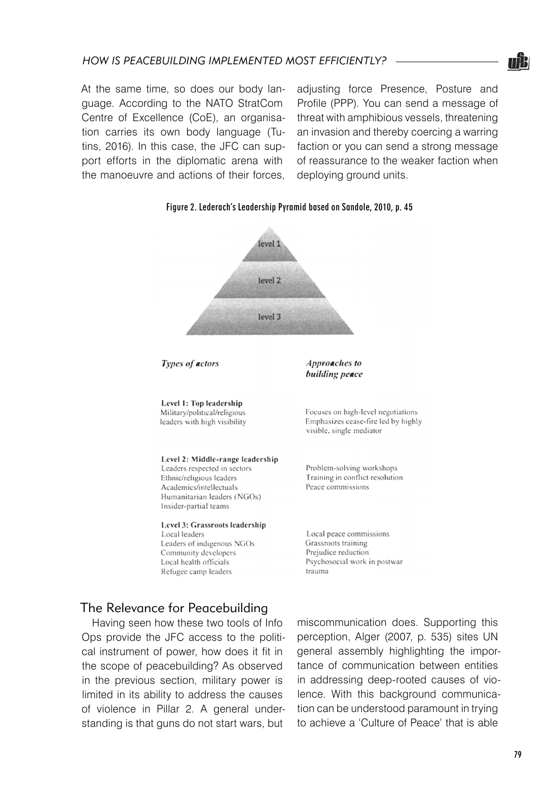

At the same time, so does our body language. According to the NATO StratCom Centre of Excellence (CoE), an organisation carries its own body language (Tutins, 2016). In this case, the JFC can support efforts in the diplomatic arena with the manoeuvre and actions of their forces, adjusting force Presence, Posture and Profile (PPP). You can send a message of threat with amphibious vessels, threatening an invasion and thereby coercing a warring faction or you can send a strong message of reassurance to the weaker faction when deploying ground units.



#### Figure 2. Lederach's Leadership Pyramid based on Sandole, 2010, p. 45

Types of actors

Level 1: Top leadership Military/political/religious leaders with high visibility

Level 2: Middle-range leadership

Leaders respected in sectors Ethnic/religious leaders Academics/intellectuals Humanitarian leaders (NGOs) Insider-partial teams

#### Level 3: Grassroots leadership

Local leaders Leaders of indigenous NGOs Community developers Local health officials Refugee camp leaders

Focuses on high-level negotiations Emphasizes cease-fire led by highly visible, single mediator

Approaches to building peace

Problem-solving workshops Training in conflict resolution Peace commissions

Local peace commissions Grassroots training Prejudice reduction Psychosocial work in postwar trauma

## The Relevance for Peacebuilding

Having seen how these two tools of Info Ops provide the JFC access to the political instrument of power, how does it fit in the scope of peacebuilding? As observed in the previous section, military power is limited in its ability to address the causes of violence in Pillar 2. A general understanding is that guns do not start wars, but

miscommunication does. Supporting this perception, Alger (2007, p. 535) sites UN general assembly highlighting the importance of communication between entities in addressing deep-rooted causes of violence. With this background communication can be understood paramount in trying to achieve a 'Culture of Peace' that is able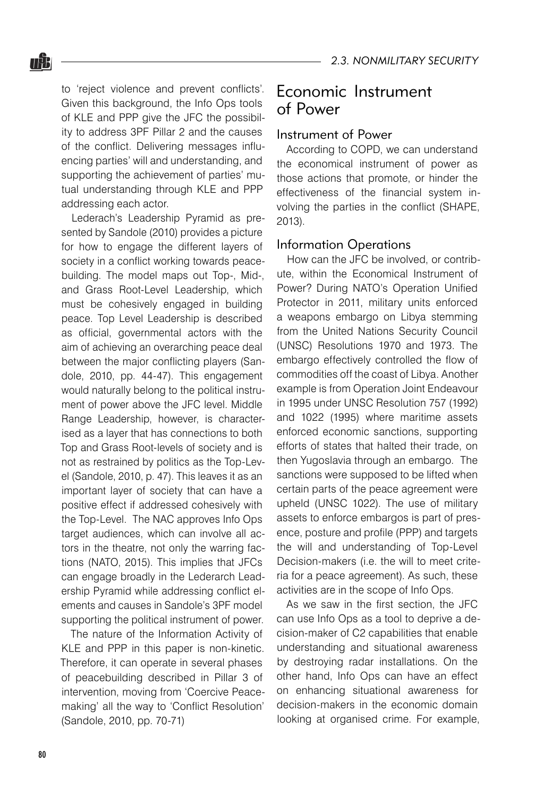to 'reject violence and prevent conflicts'. Given this background, the Info Ops tools of KLE and PPP give the JFC the possibility to address 3PF Pillar 2 and the causes of the conflict. Delivering messages influencing parties' will and understanding, and supporting the achievement of parties' mutual understanding through KLE and PPP addressing each actor.

Lederach's Leadership Pyramid as presented by Sandole (2010) provides a picture for how to engage the different layers of society in a conflict working towards peacebuilding. The model maps out Top-, Mid-, and Grass Root-Level Leadership, which must be cohesively engaged in building peace. Top Level Leadership is described as official, governmental actors with the aim of achieving an overarching peace deal between the major conflicting players (Sandole, 2010, pp. 44-47). This engagement would naturally belong to the political instrument of power above the JFC level. Middle Range Leadership, however, is characterised as a layer that has connections to both Top and Grass Root-levels of society and is not as restrained by politics as the Top-Level (Sandole, 2010, p. 47). This leaves it as an important layer of society that can have a positive effect if addressed cohesively with the Top-Level. The NAC approves Info Ops target audiences, which can involve all actors in the theatre, not only the warring factions (NATO, 2015). This implies that JFCs can engage broadly in the Lederarch Leadership Pyramid while addressing conflict elements and causes in Sandole's 3PF model supporting the political instrument of power.

The nature of the Information Activity of KLE and PPP in this paper is non-kinetic. Therefore, it can operate in several phases of peacebuilding described in Pillar 3 of intervention, moving from 'Coercive Peacemaking' all the way to 'Conflict Resolution' (Sandole, 2010, pp. 70-71)

## Economic Instrument of Power

## Instrument of Power

According to COPD, we can understand the economical instrument of power as those actions that promote, or hinder the effectiveness of the financial system involving the parties in the conflict (SHAPE, 2013).

## Information Operations

How can the JFC be involved, or contribute, within the Economical Instrument of Power? During NATO's Operation Unified Protector in 2011, military units enforced a weapons embargo on Libya stemming from the United Nations Security Council (UNSC) Resolutions 1970 and 1973. The embargo effectively controlled the flow of commodities off the coast of Libya. Another example is from Operation Joint Endeavour in 1995 under UNSC Resolution 757 (1992) and 1022 (1995) where maritime assets enforced economic sanctions, supporting efforts of states that halted their trade, on then Yugoslavia through an embargo. The sanctions were supposed to be lifted when certain parts of the peace agreement were upheld (UNSC 1022). The use of military assets to enforce embargos is part of presence, posture and profile (PPP) and targets the will and understanding of Top-Level Decision-makers (i.e. the will to meet criteria for a peace agreement). As such, these activities are in the scope of Info Ops.

As we saw in the first section, the JFC can use Info Ops as a tool to deprive a decision-maker of C2 capabilities that enable understanding and situational awareness by destroying radar installations. On the other hand, Info Ops can have an effect on enhancing situational awareness for decision-makers in the economic domain looking at organised crime. For example,

<u>nâa</u>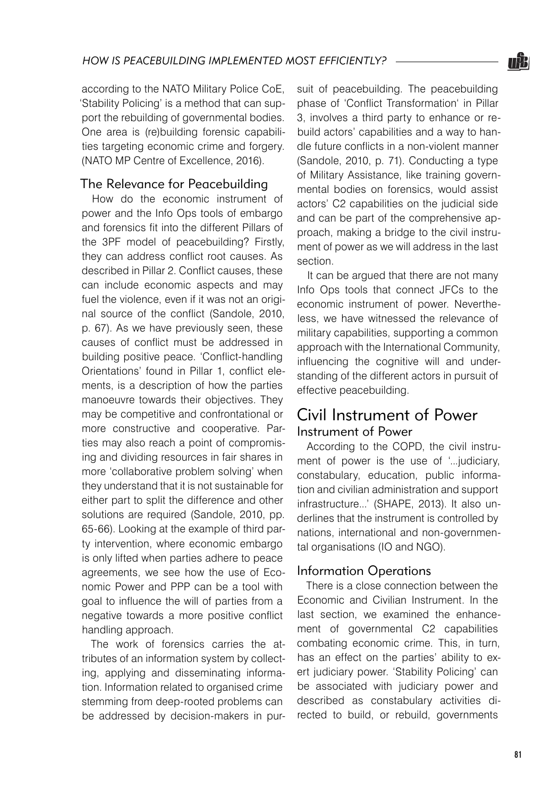according to the NATO Military Police CoE, 'Stability Policing' is a method that can support the rebuilding of governmental bodies. One area is (re)building forensic capabilities targeting economic crime and forgery. (NATO MP Centre of Excellence, 2016).

## The Relevance for Peacebuilding

How do the economic instrument of power and the Info Ops tools of embargo and forensics fit into the different Pillars of the 3PF model of peacebuilding? Firstly, they can address conflict root causes. As described in Pillar 2. Conflict causes, these can include economic aspects and may fuel the violence, even if it was not an original source of the conflict (Sandole, 2010, p. 67). As we have previously seen, these causes of conflict must be addressed in building positive peace. 'Conflict-handling Orientations' found in Pillar 1, conflict elements, is a description of how the parties manoeuvre towards their objectives. They may be competitive and confrontational or more constructive and cooperative. Parties may also reach a point of compromising and dividing resources in fair shares in more 'collaborative problem solving' when they understand that it is not sustainable for either part to split the difference and other solutions are required (Sandole, 2010, pp. 65-66). Looking at the example of third party intervention, where economic embargo is only lifted when parties adhere to peace agreements, we see how the use of Economic Power and PPP can be a tool with goal to influence the will of parties from a negative towards a more positive conflict handling approach.

The work of forensics carries the attributes of an information system by collecting, applying and disseminating information. Information related to organised crime stemming from deep-rooted problems can be addressed by decision-makers in pursuit of peacebuilding. The peacebuilding phase of 'Conflict Transformation' in Pillar 3, involves a third party to enhance or rebuild actors' capabilities and a way to handle future conflicts in a non-violent manner (Sandole, 2010, p. 71). Conducting a type of Military Assistance, like training governmental bodies on forensics, would assist actors' C2 capabilities on the judicial side and can be part of the comprehensive approach, making a bridge to the civil instrument of power as we will address in the last section.

It can be argued that there are not many Info Ops tools that connect JFCs to the economic instrument of power. Nevertheless, we have witnessed the relevance of military capabilities, supporting a common approach with the International Community, influencing the cognitive will and understanding of the different actors in pursuit of effective peacebuilding.

## Civil Instrument of Power Instrument of Power

According to the COPD, the civil instrument of power is the use of '...judiciary, constabulary, education, public information and civilian administration and support infrastructure...' (SHAPE, 2013). It also underlines that the instrument is controlled by nations, international and non-governmental organisations (IO and NGO).

## Information Operations

There is a close connection between the Economic and Civilian Instrument. In the last section, we examined the enhancement of governmental C2 capabilities combating economic crime. This, in turn, has an effect on the parties' ability to exert judiciary power. 'Stability Policing' can be associated with judiciary power and described as constabulary activities directed to build, or rebuild, governments

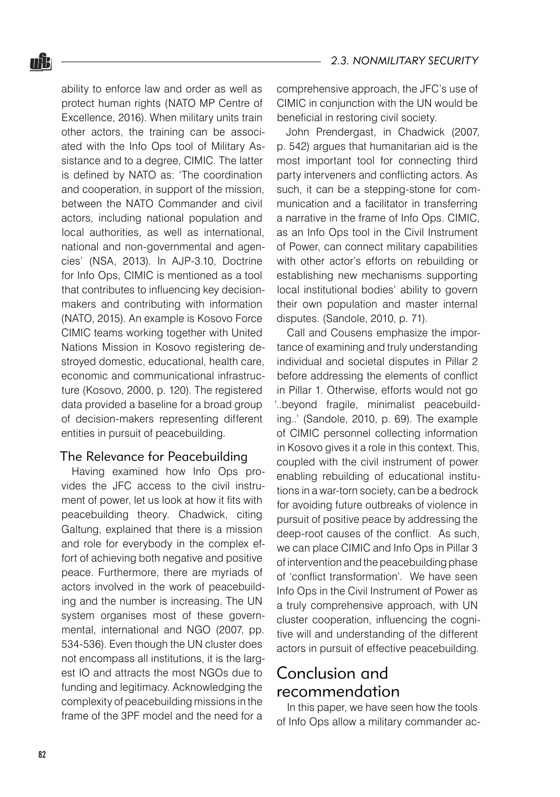ability to enforce law and order as well as protect human rights (NATO MP Centre of Excellence, 2016). When military units train other actors, the training can be associated with the Info Ops tool of Military Assistance and to a degree, CIMIC. The latter is defined by NATO as: 'The coordination and cooperation, in support of the mission, between the NATO Commander and civil actors, including national population and local authorities, as well as international, national and non-governmental and agencies' (NSA, 2013). In AJP-3.10, Doctrine for Info Ops, CIMIC is mentioned as a tool that contributes to influencing key decisionmakers and contributing with information (NATO, 2015). An example is Kosovo Force CIMIC teams working together with United Nations Mission in Kosovo registering destroyed domestic, educational, health care, economic and communicational infrastructure (Kosovo, 2000, p. 120). The registered data provided a baseline for a broad group of decision-makers representing different entities in pursuit of peacebuilding.

## The Relevance for Peacebuilding

Having examined how Info Ops provides the JFC access to the civil instrument of power, let us look at how it fits with peacebuilding theory. Chadwick, citing Galtung, explained that there is a mission and role for everybody in the complex effort of achieving both negative and positive peace. Furthermore, there are myriads of actors involved in the work of peacebuilding and the number is increasing. The UN system organises most of these governmental, international and NGO (2007, pp. 534-536). Even though the UN cluster does not encompass all institutions, it is the largest IO and attracts the most NGOs due to funding and legitimacy. Acknowledging the complexity of peacebuilding missions in the frame of the 3PF model and the need for a

comprehensive approach, the JFC's use of CIMIC in conjunction with the UN would be beneficial in restoring civil society.

John Prendergast, in Chadwick (2007, p. 542) argues that humanitarian aid is the most important tool for connecting third party interveners and conflicting actors. As such, it can be a stepping-stone for communication and a facilitator in transferring a narrative in the frame of Info Ops. CIMIC, as an Info Ops tool in the Civil Instrument of Power, can connect military capabilities with other actor's efforts on rebuilding or establishing new mechanisms supporting local institutional bodies' ability to govern their own population and master internal disputes. (Sandole, 2010, p. 71).

Call and Cousens emphasize the importance of examining and truly understanding individual and societal disputes in Pillar 2 before addressing the elements of conflict in Pillar 1. Otherwise, efforts would not go '..beyond fragile, minimalist peacebuilding..' (Sandole, 2010, p. 69). The example of CIMIC personnel collecting information in Kosovo gives it a role in this context. This, coupled with the civil instrument of power enabling rebuilding of educational institutions in a war-torn society, can be a bedrock for avoiding future outbreaks of violence in pursuit of positive peace by addressing the deep-root causes of the conflict. As such, we can place CIMIC and Info Ops in Pillar 3 of intervention and the peacebuilding phase of 'conflict transformation'. We have seen Info Ops in the Civil Instrument of Power as a truly comprehensive approach, with UN cluster cooperation, influencing the cognitive will and understanding of the different actors in pursuit of effective peacebuilding.

# Conclusion and recommendation

In this paper, we have seen how the tools of Info Ops allow a military commander ac-

<u>nâa</u>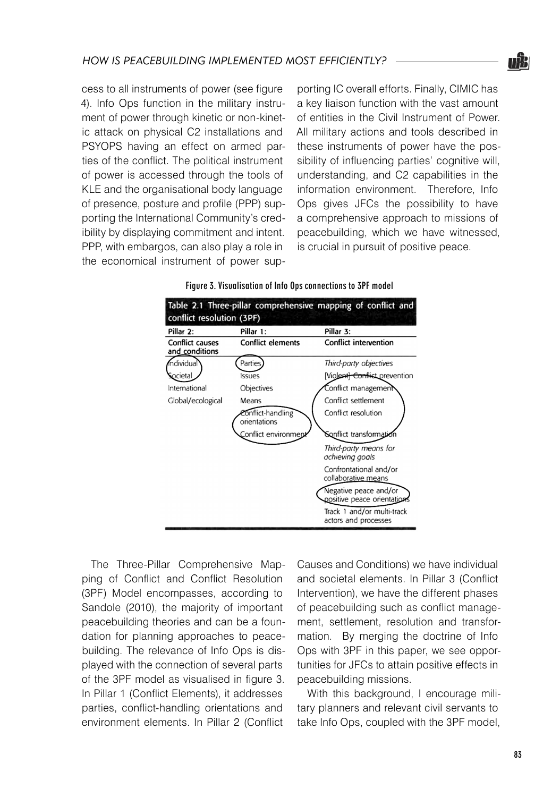

cess to all instruments of power (see figure 4). Info Ops function in the military instrument of power through kinetic or non-kinetic attack on physical C2 installations and PSYOPS having an effect on armed parties of the conflict. The political instrument of power is accessed through the tools of KLE and the organisational body language of presence, posture and profile (PPP) supporting the International Community's credibility by displaying commitment and intent. PPP, with embargos, can also play a role in the economical instrument of power supporting IC overall efforts. Finally, CIMIC has a key liaison function with the vast amount of entities in the Civil Instrument of Power. All military actions and tools described in these instruments of power have the possibility of influencing parties' cognitive will, understanding, and C2 capabilities in the information environment. Therefore, Info Ops gives JFCs the possibility to have a comprehensive approach to missions of peacebuilding, which we have witnessed, is crucial in pursuit of positive peace.

| Pillar 2:                                | Pillar 1:                         | Pillar 3:                                            |  |
|------------------------------------------|-----------------------------------|------------------------------------------------------|--|
| <b>Conflict causes</b><br>and conditions | <b>Conflict elements</b>          | <b>Conflict intervention</b>                         |  |
| individual                               | Parties                           | Third-party objectives                               |  |
| <b>Societal</b>                          | Issues                            | [Violent <del>] Conflic</del> t prevention           |  |
| International                            | Objectives                        | Conflict management                                  |  |
| Clobal/ecological                        | Means                             | Conflict settlement                                  |  |
|                                          | Conflict-handling<br>orientations | Conflict resolution                                  |  |
|                                          | Conflict environmer               | Sonflict transformati                                |  |
|                                          |                                   | Third-party means for<br>achieving goals             |  |
|                                          |                                   | Confrontational and/or<br>collaborative means        |  |
|                                          |                                   | Negative peace and/or<br>positive peace orientations |  |
|                                          |                                   | Track 1 and/or multi-track<br>actors and processes   |  |

#### Figure 3. Visualisation of Info Ops connections to 3PF model

The Three-Pillar Comprehensive Mapping of Conflict and Conflict Resolution (3PF) Model encompasses, according to Sandole (2010), the majority of important peacebuilding theories and can be a foundation for planning approaches to peacebuilding. The relevance of Info Ops is displayed with the connection of several parts of the 3PF model as visualised in figure 3. In Pillar 1 (Conflict Elements), it addresses parties, conflict-handling orientations and environment elements. In Pillar 2 (Conflict

Causes and Conditions) we have individual and societal elements. In Pillar 3 (Conflict Intervention), we have the different phases of peacebuilding such as conflict management, settlement, resolution and transformation. By merging the doctrine of Info Ops with 3PF in this paper, we see opportunities for JFCs to attain positive effects in peacebuilding missions.

With this background, I encourage military planners and relevant civil servants to take Info Ops, coupled with the 3PF model,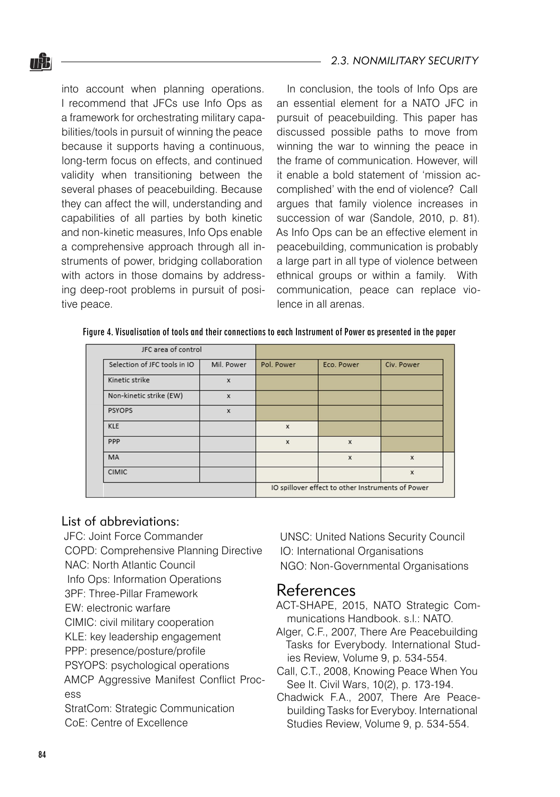#### *2.3. NONMILITARY SECURITY*

into account when planning operations. I recommend that JFCs use Info Ops as a framework for orchestrating military capabilities/tools in pursuit of winning the peace because it supports having a continuous, long-term focus on effects, and continued validity when transitioning between the several phases of peacebuilding. Because they can affect the will, understanding and capabilities of all parties by both kinetic and non-kinetic measures, Info Ops enable a comprehensive approach through all instruments of power, bridging collaboration with actors in those domains by addressing deep-root problems in pursuit of positive peace.

In conclusion, the tools of Info Ops are an essential element for a NATO JFC in pursuit of peacebuilding. This paper has discussed possible paths to move from winning the war to winning the peace in the frame of communication. However, will it enable a bold statement of 'mission accomplished' with the end of violence? Call argues that family violence increases in succession of war (Sandole, 2010, p. 81). As Info Ops can be an effective element in peacebuilding, communication is probably a large part in all type of violence between ethnical groups or within a family. With communication, peace can replace violence in all arenas.

Figure 4. Visualisation of tools and their connections to each Instrument of Power as presented in the paper

| JFC area of control          |                           |                                                   |              |                           |
|------------------------------|---------------------------|---------------------------------------------------|--------------|---------------------------|
| Selection of JFC tools in IO | Mil. Power                | Pol. Power                                        | Eco. Power   | Civ. Power                |
| Kinetic strike               | $\mathbf x$               |                                                   |              |                           |
| Non-kinetic strike (EW)      | $\mathbf{x}$              |                                                   |              |                           |
| <b>PSYOPS</b>                | $\boldsymbol{\mathsf{x}}$ |                                                   |              |                           |
| <b>KLE</b>                   |                           | $\mathbf x$                                       |              |                           |
| PPP                          |                           | $\mathbf x$                                       | $\mathbf{x}$ |                           |
| MA                           |                           |                                                   | x            | $\boldsymbol{\mathsf{x}}$ |
| <b>CIMIC</b>                 |                           |                                                   |              | $\mathbf x$               |
|                              |                           | IO spillover effect to other Instruments of Power |              |                           |

## List of abbreviations:

- JFC: Joint Force Commander
- COPD: Comprehensive Planning Directive
- NAC: North Atlantic Council
- Info Ops: Information Operations
- 3PF: Three-Pillar Framework
- EW: electronic warfare
- CIMIC: civil military cooperation
- KLE: key leadership engagement
- PPP: presence/posture/profile
- PSYOPS: psychological operations
- AMCP Aggressive Manifest Conflict Process
- StratCom: Strategic Communication CoE: Centre of Excellence

UNSC: United Nations Security Council IO: International Organisations NGO: Non-Governmental Organisations

# References

- ACT-SHAPE, 2015, NATO Strategic Communications Handbook. s.l.: NATO.
- Alger, C.F., 2007, There Are Peacebuilding Tasks for Everybody. International Studies Review, Volume 9, p. 534-554.
- Call, C.T., 2008, Knowing Peace When You See It. Civil Wars, 10(2), p. 173-194.
- Chadwick F.A., 2007, There Are Peacebuilding Tasks for Everyboy. International Studies Review, Volume 9, p. 534-554.